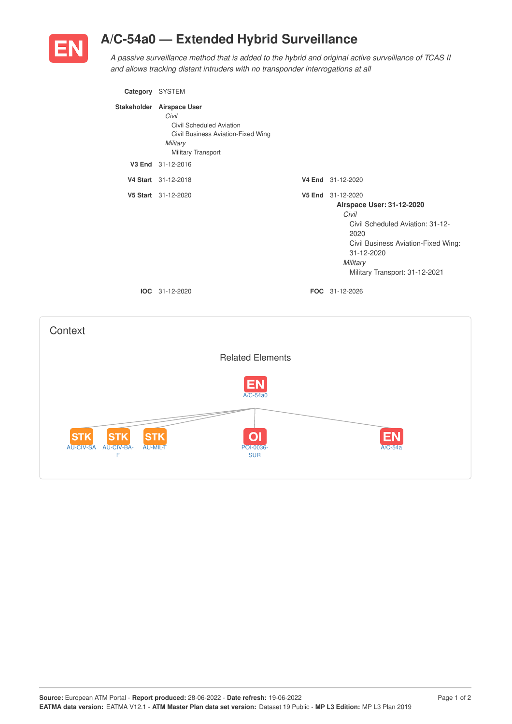

**Context** 

## **A/C-54a0 — Extended Hybrid Surveillance**

*A passive surveillance method that is added to the hybrid and original active surveillance of TCAS II and allows tracking distant intruders with no transponder interrogations at all*

| Category SYSTEM |                                                                                                                                        |                                                                                                                                                                                                        |
|-----------------|----------------------------------------------------------------------------------------------------------------------------------------|--------------------------------------------------------------------------------------------------------------------------------------------------------------------------------------------------------|
|                 | Stakeholder Airspace User<br>Civil<br>Civil Scheduled Aviation<br>Civil Business Aviation-Fixed Wing<br>Military<br>Military Transport |                                                                                                                                                                                                        |
|                 | V3 End 31-12-2016                                                                                                                      |                                                                                                                                                                                                        |
|                 | V4 Start 31-12-2018                                                                                                                    | V4 End 31-12-2020                                                                                                                                                                                      |
|                 | V5 Start 31-12-2020                                                                                                                    | V5 End 31-12-2020<br>Airspace User: 31-12-2020<br>Civil<br>Civil Scheduled Aviation: 31-12-<br>2020<br>Civil Business Aviation-Fixed Wing:<br>31-12-2020<br>Military<br>Military Transport: 31-12-2021 |
|                 | <b>IOC</b> 31-12-2020                                                                                                                  | FOC 31-12-2026                                                                                                                                                                                         |
|                 | <b>Related Elements</b>                                                                                                                |                                                                                                                                                                                                        |